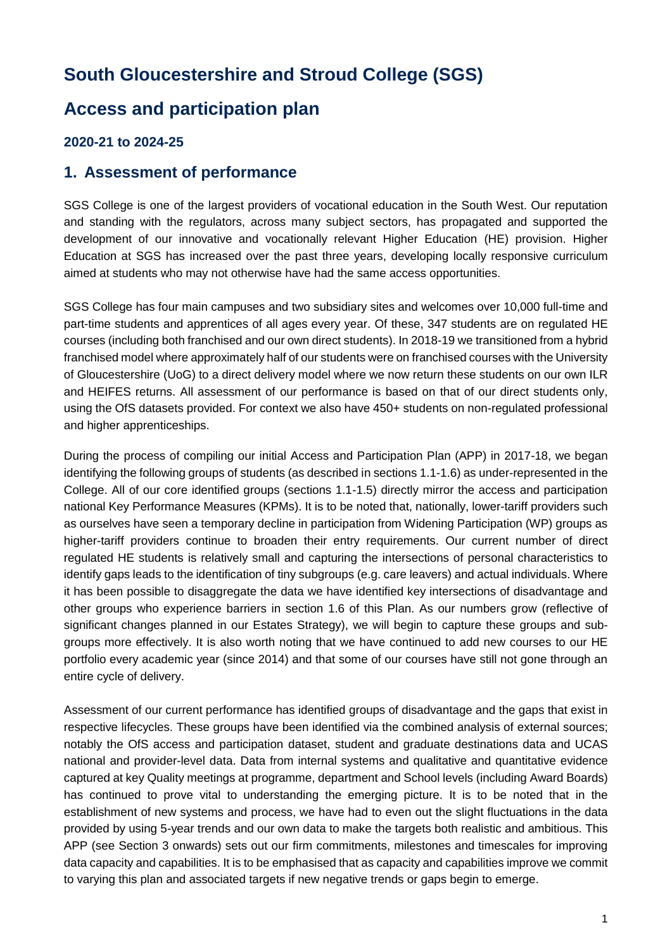## **South Gloucestershire and Stroud College (SGS)**

### **Access and participation plan**

#### **2020-21 to 2024-25**

#### **1. Assessment of performance**

SGS College is one of the largest providers of vocational education in the South West. Our reputation and standing with the regulators, across many subject sectors, has propagated and supported the development of our innovative and vocationally relevant Higher Education (HE) provision. Higher Education at SGS has increased over the past three years, developing locally responsive curriculum aimed at students who may not otherwise have had the same access opportunities.

SGS College has four main campuses and two subsidiary sites and welcomes over 10,000 full-time and part-time students and apprentices of all ages every year. Of these, 347 students are on regulated HE courses (including both franchised and our own direct students). In 2018-19 we transitioned from a hybrid franchised model where approximately half of our students were on franchised courses with the University of Gloucestershire (UoG) to a direct delivery model where we now return these students on our own ILR and HEIFES returns. All assessment of our performance is based on that of our direct students only, using the OfS datasets provided. For context we also have 450+ students on non-regulated professional and higher apprenticeships.

During the process of compiling our initial Access and Participation Plan (APP) in 2017-18, we began identifying the following groups of students (as described in sections 1.1-1.6) as under-represented in the College. All of our core identified groups (sections 1.1-1.5) directly mirror the access and participation national Key Performance Measures (KPMs). It is to be noted that, nationally, lower-tariff providers such as ourselves have seen a temporary decline in participation from Widening Participation (WP) groups as higher-tariff providers continue to broaden their entry requirements. Our current number of direct regulated HE students is relatively small and capturing the intersections of personal characteristics to identify gaps leads to the identification of tiny subgroups (e.g. care leavers) and actual individuals. Where it has been possible to disaggregate the data we have identified key intersections of disadvantage and other groups who experience barriers in section 1.6 of this Plan. As our numbers grow (reflective of significant changes planned in our Estates Strategy), we will begin to capture these groups and subgroups more effectively. It is also worth noting that we have continued to add new courses to our HE portfolio every academic year (since 2014) and that some of our courses have still not gone through an entire cycle of delivery.

Assessment of our current performance has identified groups of disadvantage and the gaps that exist in respective lifecycles. These groups have been identified via the combined analysis of external sources; notably the OfS access and participation dataset, student and graduate destinations data and UCAS national and provider-level data. Data from internal systems and qualitative and quantitative evidence captured at key Quality meetings at programme, department and School levels (including Award Boards) has continued to prove vital to understanding the emerging picture. It is to be noted that in the establishment of new systems and process, we have had to even out the slight fluctuations in the data provided by using 5-year trends and our own data to make the targets both realistic and ambitious. This APP (see Section 3 onwards) sets out our firm commitments, milestones and timescales for improving data capacity and capabilities. It is to be emphasised that as capacity and capabilities improve we commit to varying this plan and associated targets if new negative trends or gaps begin to emerge.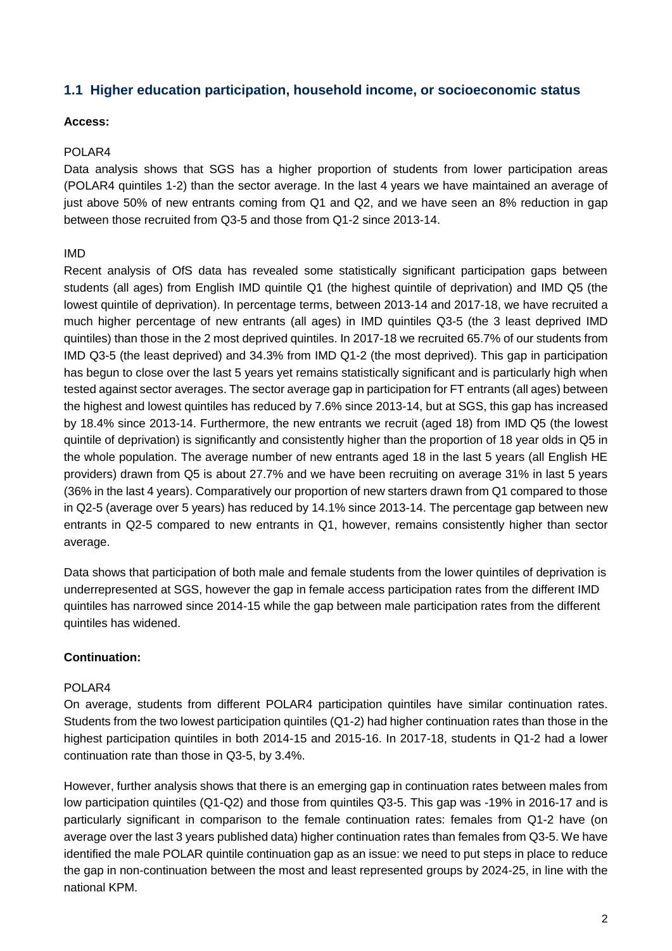#### **1.1 Higher education participation, household income, or socioeconomic status**

#### **Access:**

#### POLAR4

Data analysis shows that SGS has a higher proportion of students from lower participation areas (POLAR4 quintiles 1-2) than the sector average. In the last 4 years we have maintained an average of just above 50% of new entrants coming from Q1 and Q2, and we have seen an 8% reduction in gap between those recruited from Q3-5 and those from Q1-2 since 2013-14.

#### IMD

Recent analysis of OfS data has revealed some statistically significant participation gaps between students (all ages) from English IMD quintile Q1 (the highest quintile of deprivation) and IMD Q5 (the lowest quintile of deprivation). In percentage terms, between 2013-14 and 2017-18, we have recruited a much higher percentage of new entrants (all ages) in IMD quintiles Q3-5 (the 3 least deprived IMD quintiles) than those in the 2 most deprived quintiles. In 2017-18 we recruited 65.7% of our students from IMD Q3-5 (the least deprived) and 34.3% from IMD Q1-2 (the most deprived). This gap in participation has begun to close over the last 5 years yet remains statistically significant and is particularly high when tested against sector averages. The sector average gap in participation for FT entrants (all ages) between the highest and lowest quintiles has reduced by 7.6% since 2013-14, but at SGS, this gap has increased by 18.4% since 2013-14. Furthermore, the new entrants we recruit (aged 18) from IMD Q5 (the lowest quintile of deprivation) is significantly and consistently higher than the proportion of 18 year olds in Q5 in the whole population. The average number of new entrants aged 18 in the last 5 years (all English HE providers) drawn from Q5 is about 27.7% and we have been recruiting on average 31% in last 5 years (36% in the last 4 years). Comparatively our proportion of new starters drawn from Q1 compared to those in Q2-5 (average over 5 years) has reduced by 14.1% since 2013-14. The percentage gap between new entrants in Q2-5 compared to new entrants in Q1, however, remains consistently higher than sector average.

Data shows that participation of both male and female students from the lower quintiles of deprivation is underrepresented at SGS, however the gap in female access participation rates from the different IMD quintiles has narrowed since 2014-15 while the gap between male participation rates from the different quintiles has widened.

#### **Continuation:**

#### POLAR<sub>4</sub>

On average, students from different POLAR4 participation quintiles have similar continuation rates. Students from the two lowest participation quintiles (Q1-2) had higher continuation rates than those in the highest participation quintiles in both 2014-15 and 2015-16. In 2017-18, students in Q1-2 had a lower continuation rate than those in Q3-5, by 3.4%.

However, further analysis shows that there is an emerging gap in continuation rates between males from low participation quintiles (Q1-Q2) and those from quintiles Q3-5. This gap was -19% in 2016-17 and is particularly significant in comparison to the female continuation rates: females from Q1-2 have (on average over the last 3 years published data) higher continuation rates than females from Q3-5. We have identified the male POLAR quintile continuation gap as an issue: we need to put steps in place to reduce the gap in non-continuation between the most and least represented groups by 2024-25, in line with the national KPM.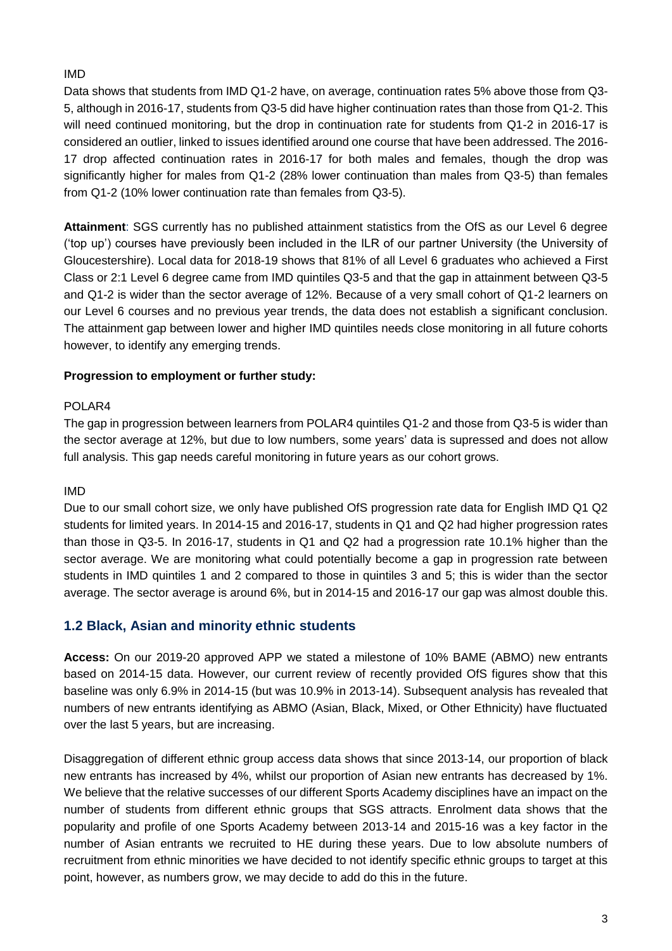#### IMD

Data shows that students from IMD Q1-2 have, on average, continuation rates 5% above those from Q3- 5, although in 2016-17, students from Q3-5 did have higher continuation rates than those from Q1-2. This will need continued monitoring, but the drop in continuation rate for students from Q1-2 in 2016-17 is considered an outlier, linked to issues identified around one course that have been addressed. The 2016- 17 drop affected continuation rates in 2016-17 for both males and females, though the drop was significantly higher for males from Q1-2 (28% lower continuation than males from Q3-5) than females from Q1-2 (10% lower continuation rate than females from Q3-5).

**Attainment**: SGS currently has no published attainment statistics from the OfS as our Level 6 degree ('top up') courses have previously been included in the ILR of our partner University (the University of Gloucestershire). Local data for 2018-19 shows that 81% of all Level 6 graduates who achieved a First Class or 2:1 Level 6 degree came from IMD quintiles Q3-5 and that the gap in attainment between Q3-5 and Q1-2 is wider than the sector average of 12%. Because of a very small cohort of Q1-2 learners on our Level 6 courses and no previous year trends, the data does not establish a significant conclusion. The attainment gap between lower and higher IMD quintiles needs close monitoring in all future cohorts however, to identify any emerging trends.

#### **Progression to employment or further study:**

#### POLAR4

The gap in progression between learners from POLAR4 quintiles Q1-2 and those from Q3-5 is wider than the sector average at 12%, but due to low numbers, some years' data is supressed and does not allow full analysis. This gap needs careful monitoring in future years as our cohort grows.

#### IMD

Due to our small cohort size, we only have published OfS progression rate data for English IMD Q1 Q2 students for limited years. In 2014-15 and 2016-17, students in Q1 and Q2 had higher progression rates than those in Q3-5. In 2016-17, students in Q1 and Q2 had a progression rate 10.1% higher than the sector average. We are monitoring what could potentially become a gap in progression rate between students in IMD quintiles 1 and 2 compared to those in quintiles 3 and 5; this is wider than the sector average. The sector average is around 6%, but in 2014-15 and 2016-17 our gap was almost double this.

#### **1.2 Black, Asian and minority ethnic students**

**Access:** On our 2019-20 approved APP we stated a milestone of 10% BAME (ABMO) new entrants based on 2014-15 data. However, our current review of recently provided OfS figures show that this baseline was only 6.9% in 2014-15 (but was 10.9% in 2013-14). Subsequent analysis has revealed that numbers of new entrants identifying as ABMO (Asian, Black, Mixed, or Other Ethnicity) have fluctuated over the last 5 years, but are increasing.

Disaggregation of different ethnic group access data shows that since 2013-14, our proportion of black new entrants has increased by 4%, whilst our proportion of Asian new entrants has decreased by 1%. We believe that the relative successes of our different Sports Academy disciplines have an impact on the number of students from different ethnic groups that SGS attracts. Enrolment data shows that the popularity and profile of one Sports Academy between 2013-14 and 2015-16 was a key factor in the number of Asian entrants we recruited to HE during these years. Due to low absolute numbers of recruitment from ethnic minorities we have decided to not identify specific ethnic groups to target at this point, however, as numbers grow, we may decide to add do this in the future.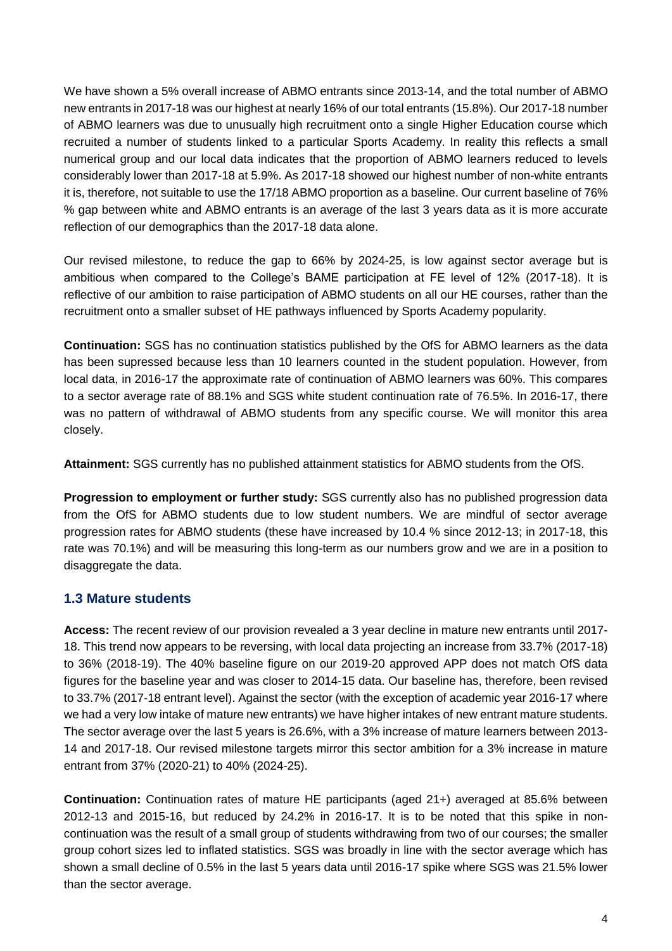We have shown a 5% overall increase of ABMO entrants since 2013-14, and the total number of ABMO new entrants in 2017-18 was our highest at nearly 16% of our total entrants (15.8%). Our 2017-18 number of ABMO learners was due to unusually high recruitment onto a single Higher Education course which recruited a number of students linked to a particular Sports Academy. In reality this reflects a small numerical group and our local data indicates that the proportion of ABMO learners reduced to levels considerably lower than 2017-18 at 5.9%. As 2017-18 showed our highest number of non-white entrants it is, therefore, not suitable to use the 17/18 ABMO proportion as a baseline. Our current baseline of 76% % gap between white and ABMO entrants is an average of the last 3 years data as it is more accurate reflection of our demographics than the 2017-18 data alone.

Our revised milestone, to reduce the gap to 66% by 2024-25, is low against sector average but is ambitious when compared to the College's BAME participation at FE level of 12% (2017-18). It is reflective of our ambition to raise participation of ABMO students on all our HE courses, rather than the recruitment onto a smaller subset of HE pathways influenced by Sports Academy popularity.

**Continuation:** SGS has no continuation statistics published by the OfS for ABMO learners as the data has been supressed because less than 10 learners counted in the student population. However, from local data, in 2016-17 the approximate rate of continuation of ABMO learners was 60%. This compares to a sector average rate of 88.1% and SGS white student continuation rate of 76.5%. In 2016-17, there was no pattern of withdrawal of ABMO students from any specific course. We will monitor this area closely.

**Attainment:** SGS currently has no published attainment statistics for ABMO students from the OfS.

**Progression to employment or further study:** SGS currently also has no published progression data from the OfS for ABMO students due to low student numbers. We are mindful of sector average progression rates for ABMO students (these have increased by 10.4 % since 2012-13; in 2017-18, this rate was 70.1%) and will be measuring this long-term as our numbers grow and we are in a position to disaggregate the data.

#### **1.3 Mature students**

**Access:** The recent review of our provision revealed a 3 year decline in mature new entrants until 2017- 18. This trend now appears to be reversing, with local data projecting an increase from 33.7% (2017-18) to 36% (2018-19). The 40% baseline figure on our 2019-20 approved APP does not match OfS data figures for the baseline year and was closer to 2014-15 data. Our baseline has, therefore, been revised to 33.7% (2017-18 entrant level). Against the sector (with the exception of academic year 2016-17 where we had a very low intake of mature new entrants) we have higher intakes of new entrant mature students. The sector average over the last 5 years is 26.6%, with a 3% increase of mature learners between 2013- 14 and 2017-18. Our revised milestone targets mirror this sector ambition for a 3% increase in mature entrant from 37% (2020-21) to 40% (2024-25).

**Continuation:** Continuation rates of mature HE participants (aged 21+) averaged at 85.6% between 2012-13 and 2015-16, but reduced by 24.2% in 2016-17. It is to be noted that this spike in noncontinuation was the result of a small group of students withdrawing from two of our courses; the smaller group cohort sizes led to inflated statistics. SGS was broadly in line with the sector average which has shown a small decline of 0.5% in the last 5 years data until 2016-17 spike where SGS was 21.5% lower than the sector average.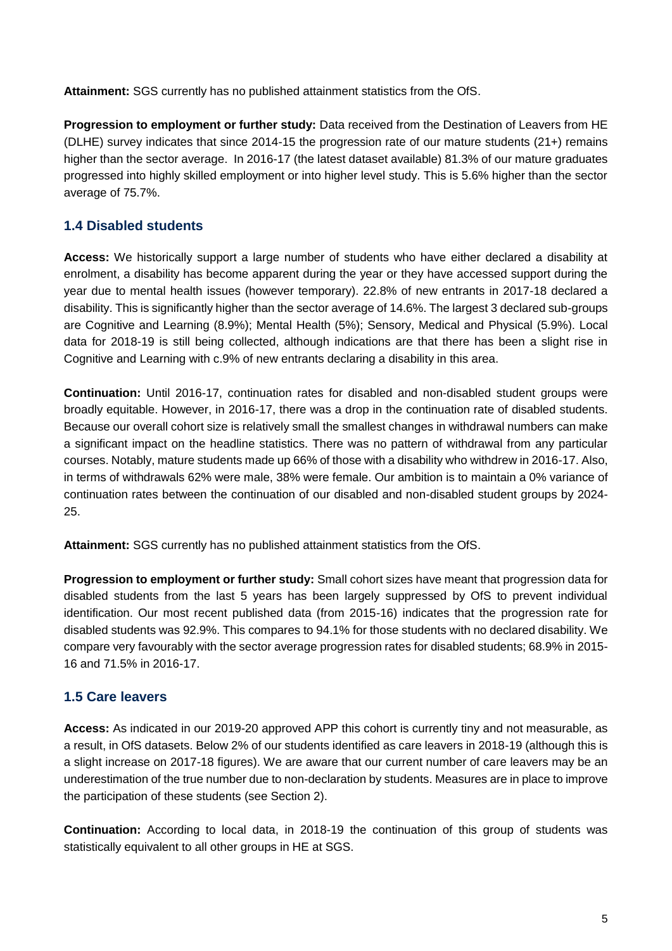**Attainment:** SGS currently has no published attainment statistics from the OfS.

**Progression to employment or further study:** Data received from the Destination of Leavers from HE (DLHE) survey indicates that since 2014-15 the progression rate of our mature students (21+) remains higher than the sector average. In 2016-17 (the latest dataset available) 81.3% of our mature graduates progressed into highly skilled employment or into higher level study. This is 5.6% higher than the sector average of 75.7%.

#### **1.4 Disabled students**

**Access:** We historically support a large number of students who have either declared a disability at enrolment, a disability has become apparent during the year or they have accessed support during the year due to mental health issues (however temporary). 22.8% of new entrants in 2017-18 declared a disability. This is significantly higher than the sector average of 14.6%. The largest 3 declared sub-groups are Cognitive and Learning (8.9%); Mental Health (5%); Sensory, Medical and Physical (5.9%). Local data for 2018-19 is still being collected, although indications are that there has been a slight rise in Cognitive and Learning with c.9% of new entrants declaring a disability in this area.

**Continuation:** Until 2016-17, continuation rates for disabled and non-disabled student groups were broadly equitable. However, in 2016-17, there was a drop in the continuation rate of disabled students. Because our overall cohort size is relatively small the smallest changes in withdrawal numbers can make a significant impact on the headline statistics. There was no pattern of withdrawal from any particular courses. Notably, mature students made up 66% of those with a disability who withdrew in 2016-17. Also, in terms of withdrawals 62% were male, 38% were female. Our ambition is to maintain a 0% variance of continuation rates between the continuation of our disabled and non-disabled student groups by 2024- 25.

**Attainment:** SGS currently has no published attainment statistics from the OfS.

**Progression to employment or further study:** Small cohort sizes have meant that progression data for disabled students from the last 5 years has been largely suppressed by OfS to prevent individual identification. Our most recent published data (from 2015-16) indicates that the progression rate for disabled students was 92.9%. This compares to 94.1% for those students with no declared disability. We compare very favourably with the sector average progression rates for disabled students; 68.9% in 2015- 16 and 71.5% in 2016-17.

#### **1.5 Care leavers**

**Access:** As indicated in our 2019-20 approved APP this cohort is currently tiny and not measurable, as a result, in OfS datasets. Below 2% of our students identified as care leavers in 2018-19 (although this is a slight increase on 2017-18 figures). We are aware that our current number of care leavers may be an underestimation of the true number due to non-declaration by students. Measures are in place to improve the participation of these students (see Section 2).

**Continuation:** According to local data, in 2018-19 the continuation of this group of students was statistically equivalent to all other groups in HE at SGS.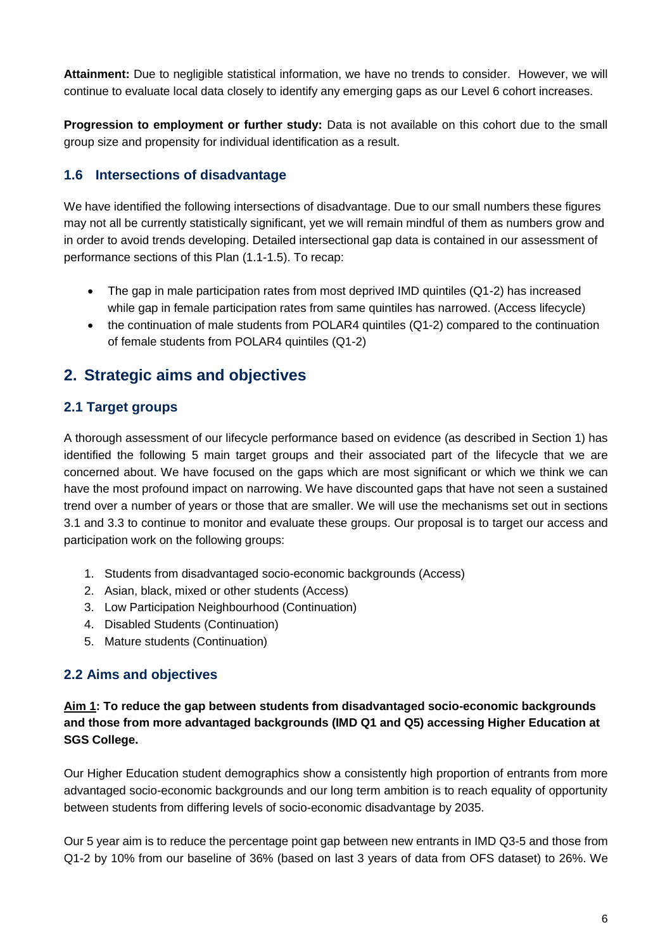**Attainment:** Due to negligible statistical information, we have no trends to consider. However, we will continue to evaluate local data closely to identify any emerging gaps as our Level 6 cohort increases.

**Progression to employment or further study:** Data is not available on this cohort due to the small group size and propensity for individual identification as a result.

#### **1.6 Intersections of disadvantage**

We have identified the following intersections of disadvantage. Due to our small numbers these figures may not all be currently statistically significant, yet we will remain mindful of them as numbers grow and in order to avoid trends developing. Detailed intersectional gap data is contained in our assessment of performance sections of this Plan (1.1-1.5). To recap:

- The gap in male participation rates from most deprived IMD quintiles (Q1-2) has increased while gap in female participation rates from same quintiles has narrowed. (Access lifecycle)
- the continuation of male students from POLAR4 quintiles (Q1-2) compared to the continuation of female students from POLAR4 quintiles (Q1-2)

### **2. Strategic aims and objectives**

#### **2.1 Target groups**

A thorough assessment of our lifecycle performance based on evidence (as described in Section 1) has identified the following 5 main target groups and their associated part of the lifecycle that we are concerned about. We have focused on the gaps which are most significant or which we think we can have the most profound impact on narrowing. We have discounted gaps that have not seen a sustained trend over a number of years or those that are smaller. We will use the mechanisms set out in sections 3.1 and 3.3 to continue to monitor and evaluate these groups. Our proposal is to target our access and participation work on the following groups:

- 1. Students from disadvantaged socio-economic backgrounds (Access)
- 2. Asian, black, mixed or other students (Access)
- 3. Low Participation Neighbourhood (Continuation)
- 4. Disabled Students (Continuation)
- 5. Mature students (Continuation)

#### **2.2 Aims and objectives**

#### **Aim 1: To reduce the gap between students from disadvantaged socio-economic backgrounds and those from more advantaged backgrounds (IMD Q1 and Q5) accessing Higher Education at SGS College.**

Our Higher Education student demographics show a consistently high proportion of entrants from more advantaged socio-economic backgrounds and our long term ambition is to reach equality of opportunity between students from differing levels of socio-economic disadvantage by 2035.

Our 5 year aim is to reduce the percentage point gap between new entrants in IMD Q3-5 and those from Q1-2 by 10% from our baseline of 36% (based on last 3 years of data from OFS dataset) to 26%. We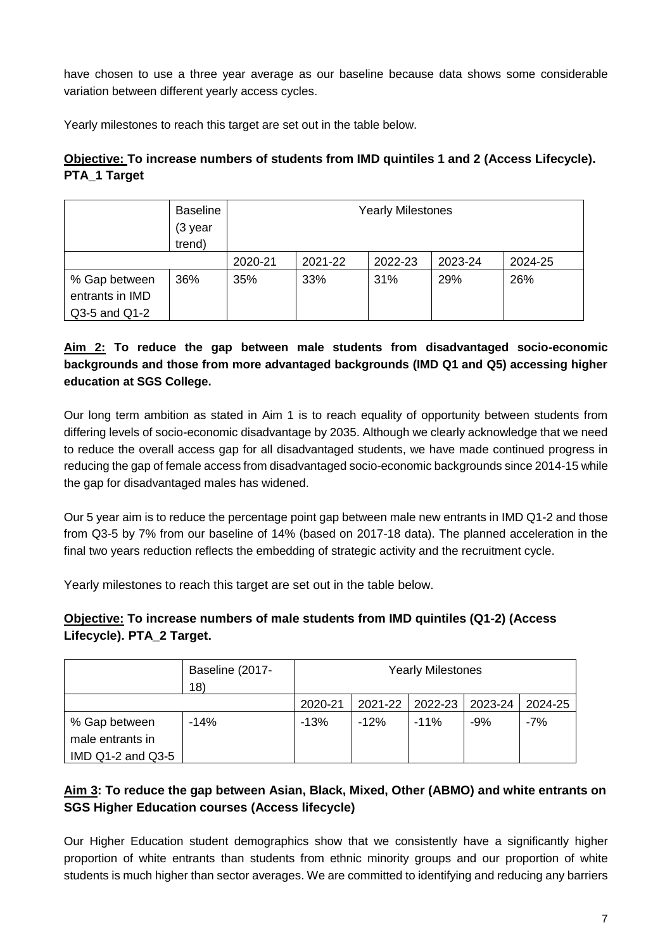have chosen to use a three year average as our baseline because data shows some considerable variation between different yearly access cycles.

Yearly milestones to reach this target are set out in the table below.

#### **Objective: To increase numbers of students from IMD quintiles 1 and 2 (Access Lifecycle). PTA\_1 Target**

|                                                   | <b>Baseline</b><br>(3 year<br>trend) | <b>Yearly Milestones</b> |         |         |         |         |
|---------------------------------------------------|--------------------------------------|--------------------------|---------|---------|---------|---------|
|                                                   |                                      | 2020-21                  | 2021-22 | 2022-23 | 2023-24 | 2024-25 |
| % Gap between<br>entrants in IMD<br>Q3-5 and Q1-2 | 36%                                  | 35%                      | 33%     | 31%     | 29%     | 26%     |

#### **Aim 2: To reduce the gap between male students from disadvantaged socio-economic backgrounds and those from more advantaged backgrounds (IMD Q1 and Q5) accessing higher education at SGS College.**

Our long term ambition as stated in Aim 1 is to reach equality of opportunity between students from differing levels of socio-economic disadvantage by 2035. Although we clearly acknowledge that we need to reduce the overall access gap for all disadvantaged students, we have made continued progress in reducing the gap of female access from disadvantaged socio-economic backgrounds since 2014-15 while the gap for disadvantaged males has widened.

Our 5 year aim is to reduce the percentage point gap between male new entrants in IMD Q1-2 and those from Q3-5 by 7% from our baseline of 14% (based on 2017-18 data). The planned acceleration in the final two years reduction reflects the embedding of strategic activity and the recruitment cycle.

Yearly milestones to reach this target are set out in the table below.

#### **Objective: To increase numbers of male students from IMD quintiles (Q1-2) (Access Lifecycle). PTA\_2 Target.**

|                       | Baseline (2017-<br>18) |         | <b>Yearly Milestones</b> |         |         |         |  |
|-----------------------|------------------------|---------|--------------------------|---------|---------|---------|--|
|                       |                        | 2020-21 | 2021-22                  | 2022-23 | 2023-24 | 2024-25 |  |
| % Gap between         | $-14%$                 | $-13%$  | $-12%$                   | $-11%$  | $-9%$   | $-7%$   |  |
| male entrants in      |                        |         |                          |         |         |         |  |
| IMD $Q1-2$ and $Q3-5$ |                        |         |                          |         |         |         |  |

#### **Aim 3: To reduce the gap between Asian, Black, Mixed, Other (ABMO) and white entrants on SGS Higher Education courses (Access lifecycle)**

Our Higher Education student demographics show that we consistently have a significantly higher proportion of white entrants than students from ethnic minority groups and our proportion of white students is much higher than sector averages. We are committed to identifying and reducing any barriers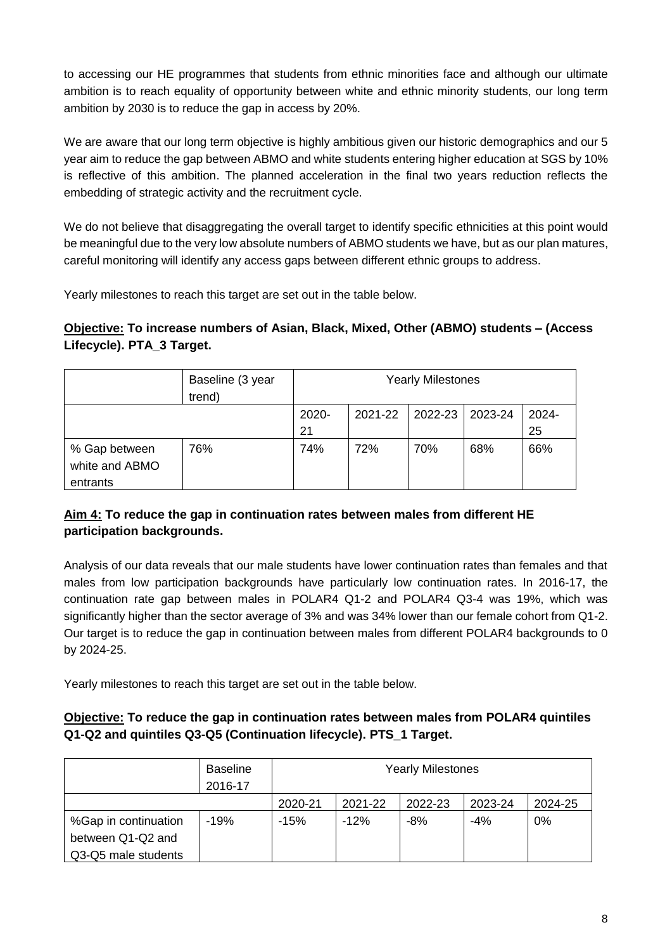to accessing our HE programmes that students from ethnic minorities face and although our ultimate ambition is to reach equality of opportunity between white and ethnic minority students, our long term ambition by 2030 is to reduce the gap in access by 20%.

We are aware that our long term objective is highly ambitious given our historic demographics and our 5 year aim to reduce the gap between ABMO and white students entering higher education at SGS by 10% is reflective of this ambition. The planned acceleration in the final two years reduction reflects the embedding of strategic activity and the recruitment cycle.

We do not believe that disaggregating the overall target to identify specific ethnicities at this point would be meaningful due to the very low absolute numbers of ABMO students we have, but as our plan matures, careful monitoring will identify any access gaps between different ethnic groups to address.

Yearly milestones to reach this target are set out in the table below.

#### **Objective: To increase numbers of Asian, Black, Mixed, Other (ABMO) students – (Access Lifecycle). PTA\_3 Target.**

|                                             | Baseline (3 year<br>trend) | <b>Yearly Milestones</b> |         |                   |     |             |
|---------------------------------------------|----------------------------|--------------------------|---------|-------------------|-----|-------------|
|                                             |                            | 2020-<br>21              | 2021-22 | 2022-23   2023-24 |     | 2024-<br>25 |
| % Gap between<br>white and ABMO<br>entrants | 76%                        | 74%                      | 72%     | 70%               | 68% | 66%         |

#### **Aim 4: To reduce the gap in continuation rates between males from different HE participation backgrounds.**

Analysis of our data reveals that our male students have lower continuation rates than females and that males from low participation backgrounds have particularly low continuation rates. In 2016-17, the continuation rate gap between males in POLAR4 Q1-2 and POLAR4 Q3-4 was 19%, which was significantly higher than the sector average of 3% and was 34% lower than our female cohort from Q1-2. Our target is to reduce the gap in continuation between males from different POLAR4 backgrounds to 0 by 2024-25.

Yearly milestones to reach this target are set out in the table below.

#### **Objective: To reduce the gap in continuation rates between males from POLAR4 quintiles Q1-Q2 and quintiles Q3-Q5 (Continuation lifecycle). PTS\_1 Target.**

|                      | <b>Baseline</b><br>2016-17 |         | <b>Yearly Milestones</b> |         |         |         |  |  |
|----------------------|----------------------------|---------|--------------------------|---------|---------|---------|--|--|
|                      |                            | 2020-21 | 2021-22                  | 2022-23 | 2023-24 | 2024-25 |  |  |
| %Gap in continuation | $-19%$                     | $-15%$  | $-12%$                   | $-8%$   | $-4%$   | 0%      |  |  |
| between Q1-Q2 and    |                            |         |                          |         |         |         |  |  |
| Q3-Q5 male students  |                            |         |                          |         |         |         |  |  |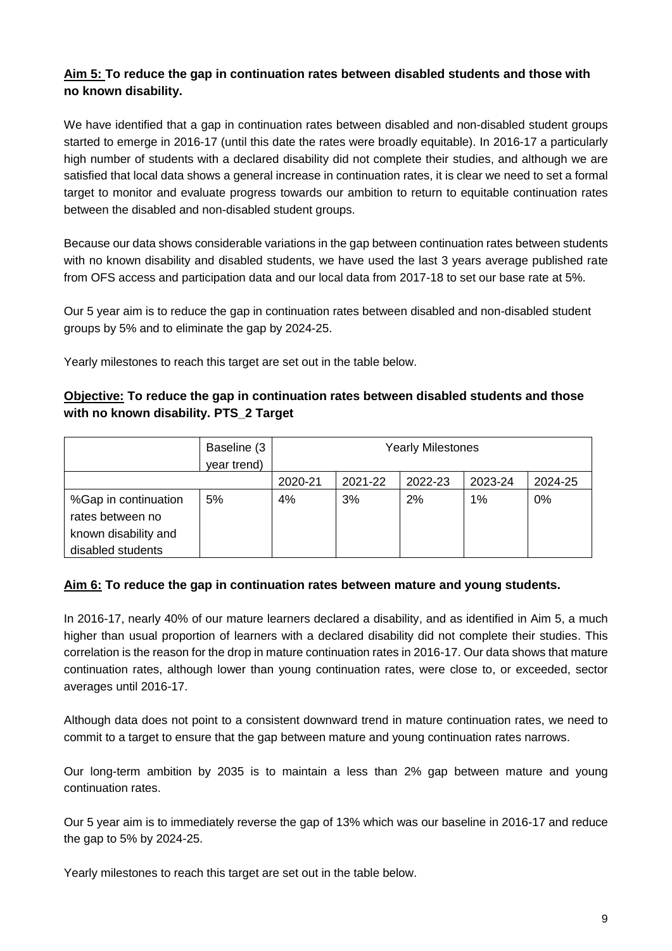#### **Aim 5: To reduce the gap in continuation rates between disabled students and those with no known disability.**

We have identified that a gap in continuation rates between disabled and non-disabled student groups started to emerge in 2016-17 (until this date the rates were broadly equitable). In 2016-17 a particularly high number of students with a declared disability did not complete their studies, and although we are satisfied that local data shows a general increase in continuation rates, it is clear we need to set a formal target to monitor and evaluate progress towards our ambition to return to equitable continuation rates between the disabled and non-disabled student groups.

Because our data shows considerable variations in the gap between continuation rates between students with no known disability and disabled students, we have used the last 3 years average published rate from OFS access and participation data and our local data from 2017-18 to set our base rate at 5%.

Our 5 year aim is to reduce the gap in continuation rates between disabled and non-disabled student groups by 5% and to eliminate the gap by 2024-25.

Yearly milestones to reach this target are set out in the table below.

#### **Objective: To reduce the gap in continuation rates between disabled students and those with no known disability. PTS\_2 Target**

|                      | Baseline (3 | <b>Yearly Milestones</b> |         |         |         |         |  |
|----------------------|-------------|--------------------------|---------|---------|---------|---------|--|
|                      | year trend) |                          |         |         |         |         |  |
|                      |             | 2020-21                  | 2021-22 | 2022-23 | 2023-24 | 2024-25 |  |
| %Gap in continuation | 5%          | 4%                       | 3%      | 2%      | 1%      | 0%      |  |
| rates between no     |             |                          |         |         |         |         |  |
| known disability and |             |                          |         |         |         |         |  |
| disabled students    |             |                          |         |         |         |         |  |

#### **Aim 6: To reduce the gap in continuation rates between mature and young students.**

In 2016-17, nearly 40% of our mature learners declared a disability, and as identified in Aim 5, a much higher than usual proportion of learners with a declared disability did not complete their studies. This correlation is the reason for the drop in mature continuation rates in 2016-17. Our data shows that mature continuation rates, although lower than young continuation rates, were close to, or exceeded, sector averages until 2016-17.

Although data does not point to a consistent downward trend in mature continuation rates, we need to commit to a target to ensure that the gap between mature and young continuation rates narrows.

Our long-term ambition by 2035 is to maintain a less than 2% gap between mature and young continuation rates.

Our 5 year aim is to immediately reverse the gap of 13% which was our baseline in 2016-17 and reduce the gap to 5% by 2024-25.

Yearly milestones to reach this target are set out in the table below.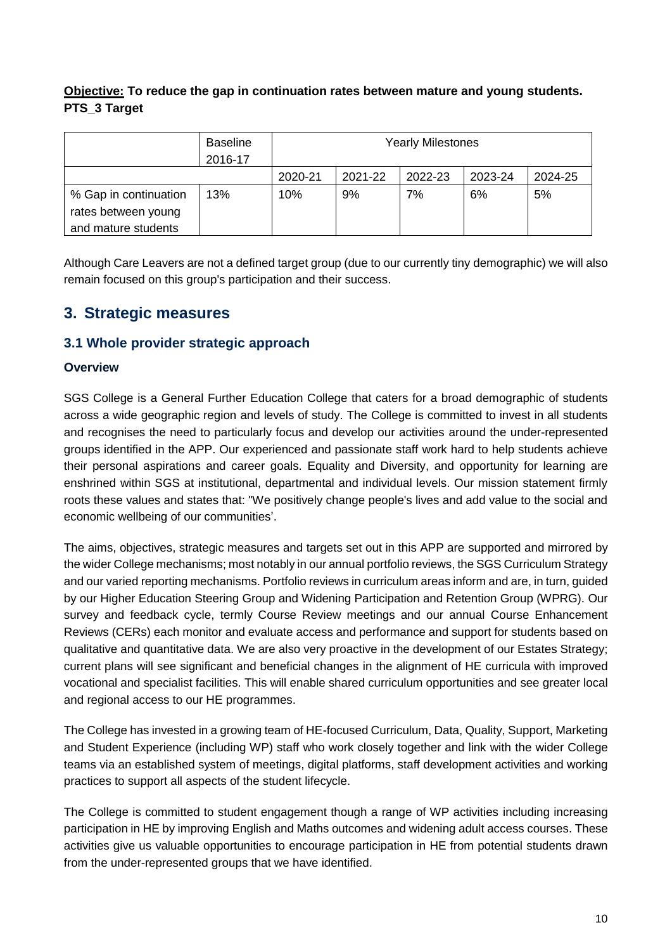#### **Objective: To reduce the gap in continuation rates between mature and young students. PTS\_3 Target**

|                                              | <b>Baseline</b><br>2016-17 |         |         | <b>Yearly Milestones</b> |         |         |
|----------------------------------------------|----------------------------|---------|---------|--------------------------|---------|---------|
|                                              |                            | 2020-21 | 2021-22 | 2022-23                  | 2023-24 | 2024-25 |
| % Gap in continuation<br>rates between young | 13%                        | 10%     | 9%      | 7%                       | 6%      | 5%      |
| and mature students                          |                            |         |         |                          |         |         |

Although Care Leavers are not a defined target group (due to our currently tiny demographic) we will also remain focused on this group's participation and their success.

#### **3. Strategic measures**

#### **3.1 Whole provider strategic approach**

#### **Overview**

SGS College is a General Further Education College that caters for a broad demographic of students across a wide geographic region and levels of study. The College is committed to invest in all students and recognises the need to particularly focus and develop our activities around the under-represented groups identified in the APP. Our experienced and passionate staff work hard to help students achieve their personal aspirations and career goals. Equality and Diversity, and opportunity for learning are enshrined within SGS at institutional, departmental and individual levels. Our mission statement firmly roots these values and states that: "We positively change people's lives and add value to the social and economic wellbeing of our communities'.

The aims, objectives, strategic measures and targets set out in this APP are supported and mirrored by the wider College mechanisms; most notably in our annual portfolio reviews, the SGS Curriculum Strategy and our varied reporting mechanisms. Portfolio reviews in curriculum areas inform and are, in turn, guided by our Higher Education Steering Group and Widening Participation and Retention Group (WPRG). Our survey and feedback cycle, termly Course Review meetings and our annual Course Enhancement Reviews (CERs) each monitor and evaluate access and performance and support for students based on qualitative and quantitative data. We are also very proactive in the development of our Estates Strategy; current plans will see significant and beneficial changes in the alignment of HE curricula with improved vocational and specialist facilities. This will enable shared curriculum opportunities and see greater local and regional access to our HE programmes.

The College has invested in a growing team of HE-focused Curriculum, Data, Quality, Support, Marketing and Student Experience (including WP) staff who work closely together and link with the wider College teams via an established system of meetings, digital platforms, staff development activities and working practices to support all aspects of the student lifecycle.

The College is committed to student engagement though a range of WP activities including increasing participation in HE by improving English and Maths outcomes and widening adult access courses. These activities give us valuable opportunities to encourage participation in HE from potential students drawn from the under-represented groups that we have identified.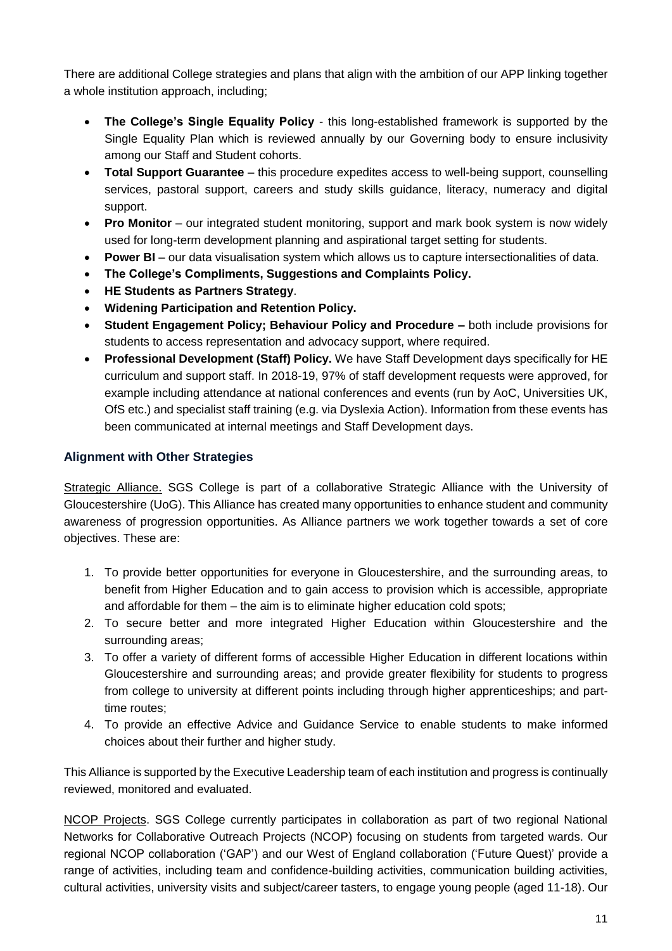There are additional College strategies and plans that align with the ambition of our APP linking together a whole institution approach, including;

- **The College's Single Equality Policy** this long-established framework is supported by the Single Equality Plan which is reviewed annually by our Governing body to ensure inclusivity among our Staff and Student cohorts.
- **Total Support Guarantee** this procedure expedites access to well-being support, counselling services, pastoral support, careers and study skills guidance, literacy, numeracy and digital support.
- **Pro Monitor** our integrated student monitoring, support and mark book system is now widely used for long-term development planning and aspirational target setting for students.
- **Power BI** our data visualisation system which allows us to capture intersectionalities of data.
- **The College's Compliments, Suggestions and Complaints Policy.**
- **HE Students as Partners Strategy**.
- **Widening Participation and Retention Policy.**
- **Student Engagement Policy; Behaviour Policy and Procedure both include provisions for** students to access representation and advocacy support, where required.
- **Professional Development (Staff) Policy.** We have Staff Development days specifically for HE curriculum and support staff. In 2018-19, 97% of staff development requests were approved, for example including attendance at national conferences and events (run by AoC, Universities UK, OfS etc.) and specialist staff training (e.g. via Dyslexia Action). Information from these events has been communicated at internal meetings and Staff Development days.

#### **Alignment with Other Strategies**

Strategic Alliance. SGS College is part of a collaborative Strategic Alliance with the University of Gloucestershire (UoG). This Alliance has created many opportunities to enhance student and community awareness of progression opportunities. As Alliance partners we work together towards a set of core objectives. These are:

- 1. To provide better opportunities for everyone in Gloucestershire, and the surrounding areas, to benefit from Higher Education and to gain access to provision which is accessible, appropriate and affordable for them – the aim is to eliminate higher education cold spots;
- 2. To secure better and more integrated Higher Education within Gloucestershire and the surrounding areas;
- 3. To offer a variety of different forms of accessible Higher Education in different locations within Gloucestershire and surrounding areas; and provide greater flexibility for students to progress from college to university at different points including through higher apprenticeships; and parttime routes;
- 4. To provide an effective Advice and Guidance Service to enable students to make informed choices about their further and higher study.

This Alliance is supported by the Executive Leadership team of each institution and progress is continually reviewed, monitored and evaluated.

NCOP Projects. SGS College currently participates in collaboration as part of two regional National Networks for Collaborative Outreach Projects (NCOP) focusing on students from targeted wards. Our regional NCOP collaboration ('GAP') and our West of England collaboration ('Future Quest)' provide a range of activities, including team and confidence-building activities, communication building activities, cultural activities, university visits and subject/career tasters, to engage young people (aged 11-18). Our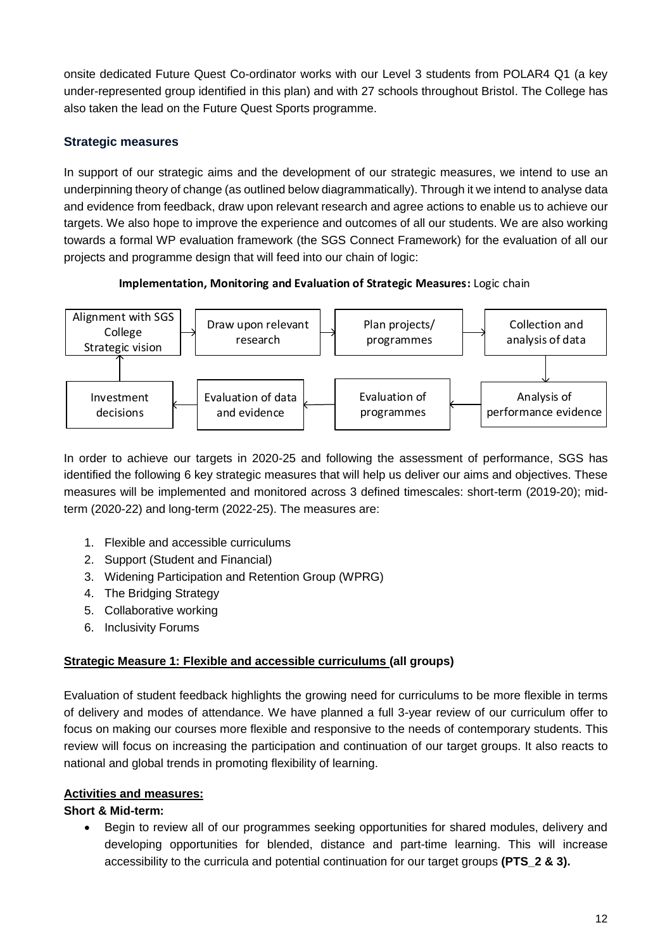onsite dedicated Future Quest Co-ordinator works with our Level 3 students from POLAR4 Q1 (a key under-represented group identified in this plan) and with 27 schools throughout Bristol. The College has also taken the lead on the Future Quest Sports programme.

#### **Strategic measures**

In support of our strategic aims and the development of our strategic measures, we intend to use an underpinning theory of change (as outlined below diagrammatically). Through it we intend to analyse data and evidence from feedback, draw upon relevant research and agree actions to enable us to achieve our targets. We also hope to improve the experience and outcomes of all our students. We are also working towards a formal WP evaluation framework (the SGS Connect Framework) for the evaluation of all our projects and programme design that will feed into our chain of logic:





In order to achieve our targets in 2020-25 and following the assessment of performance, SGS has identified the following 6 key strategic measures that will help us deliver our aims and objectives. These measures will be implemented and monitored across 3 defined timescales: short-term (2019-20); midterm (2020-22) and long-term (2022-25). The measures are:

- 1. Flexible and accessible curriculums
- 2. Support (Student and Financial)
- 3. Widening Participation and Retention Group (WPRG)
- 4. The Bridging Strategy
- 5. Collaborative working
- 6. Inclusivity Forums

#### **Strategic Measure 1: Flexible and accessible curriculums (all groups)**

Evaluation of student feedback highlights the growing need for curriculums to be more flexible in terms of delivery and modes of attendance. We have planned a full 3-year review of our curriculum offer to focus on making our courses more flexible and responsive to the needs of contemporary students. This review will focus on increasing the participation and continuation of our target groups. It also reacts to national and global trends in promoting flexibility of learning.

#### **Activities and measures:**

#### **Short & Mid-term:**

• Begin to review all of our programmes seeking opportunities for shared modules, delivery and developing opportunities for blended, distance and part-time learning. This will increase accessibility to the curricula and potential continuation for our target groups **(PTS\_2 & 3).**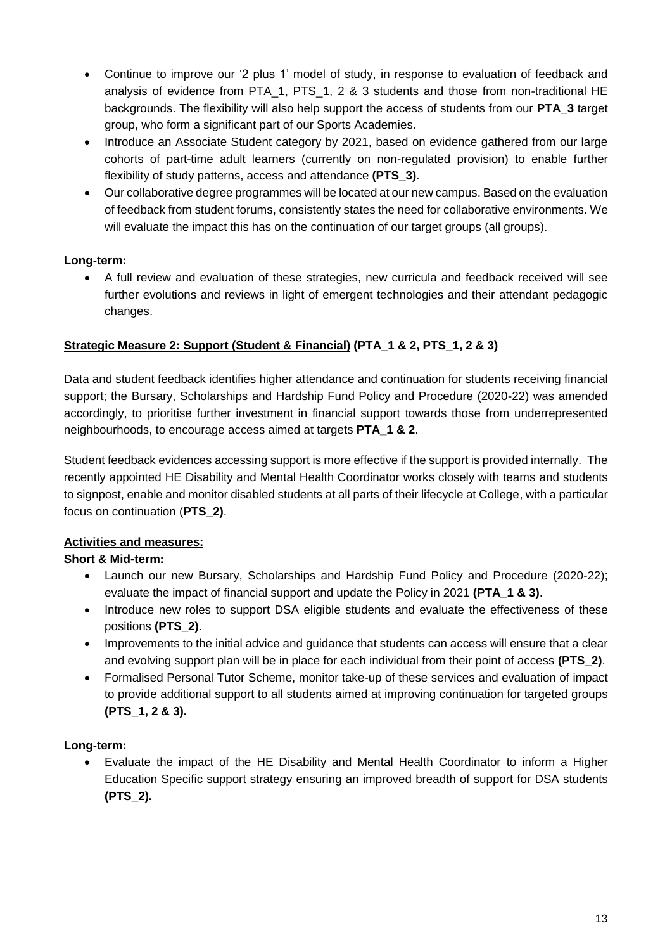- Continue to improve our '2 plus 1' model of study, in response to evaluation of feedback and analysis of evidence from PTA\_1, PTS\_1, 2 & 3 students and those from non-traditional HE backgrounds. The flexibility will also help support the access of students from our **PTA\_3** target group, who form a significant part of our Sports Academies.
- Introduce an Associate Student category by 2021, based on evidence gathered from our large cohorts of part-time adult learners (currently on non-regulated provision) to enable further flexibility of study patterns, access and attendance **(PTS\_3)**.
- Our collaborative degree programmes will be located at our new campus. Based on the evaluation of feedback from student forums, consistently states the need for collaborative environments. We will evaluate the impact this has on the continuation of our target groups (all groups).

#### **Long-term:**

• A full review and evaluation of these strategies, new curricula and feedback received will see further evolutions and reviews in light of emergent technologies and their attendant pedagogic changes.

#### **Strategic Measure 2: Support (Student & Financial) (PTA\_1 & 2, PTS\_1, 2 & 3)**

Data and student feedback identifies higher attendance and continuation for students receiving financial support; the Bursary, Scholarships and Hardship Fund Policy and Procedure (2020-22) was amended accordingly, to prioritise further investment in financial support towards those from underrepresented neighbourhoods, to encourage access aimed at targets **PTA\_1 & 2**.

Student feedback evidences accessing support is more effective if the support is provided internally. The recently appointed HE Disability and Mental Health Coordinator works closely with teams and students to signpost, enable and monitor disabled students at all parts of their lifecycle at College, with a particular focus on continuation (**PTS\_2)**.

#### **Activities and measures:**

#### **Short & Mid-term:**

- Launch our new Bursary, Scholarships and Hardship Fund Policy and Procedure (2020-22); evaluate the impact of financial support and update the Policy in 2021 **(PTA\_1 & 3)**.
- Introduce new roles to support DSA eligible students and evaluate the effectiveness of these positions **(PTS\_2)**.
- Improvements to the initial advice and guidance that students can access will ensure that a clear and evolving support plan will be in place for each individual from their point of access **(PTS\_2)**.
- Formalised Personal Tutor Scheme, monitor take-up of these services and evaluation of impact to provide additional support to all students aimed at improving continuation for targeted groups **(PTS\_1, 2 & 3).**

#### **Long-term:**

• Evaluate the impact of the HE Disability and Mental Health Coordinator to inform a Higher Education Specific support strategy ensuring an improved breadth of support for DSA students **(PTS\_2).**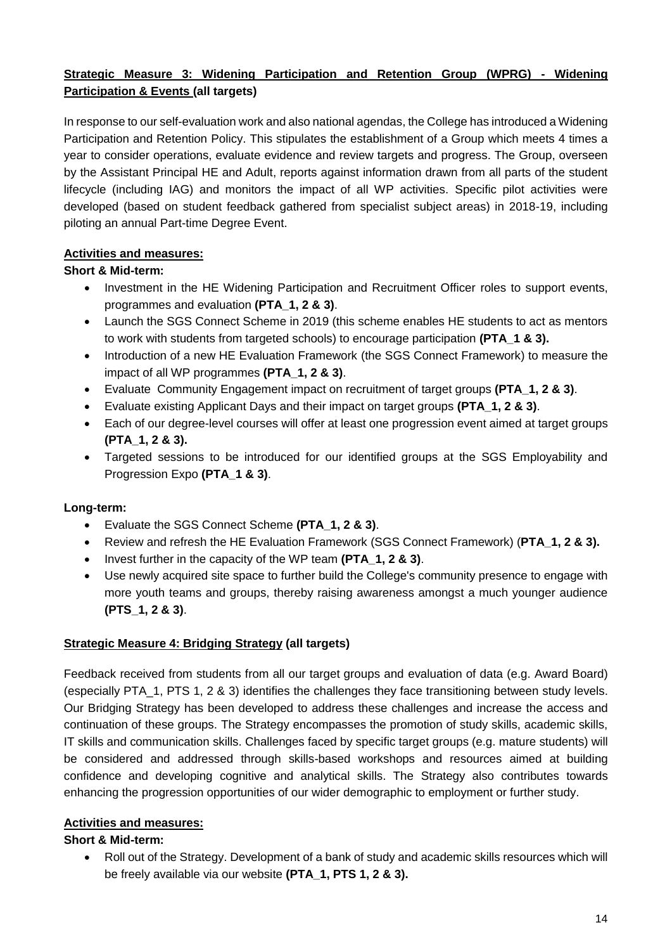#### **Strategic Measure 3: Widening Participation and Retention Group (WPRG) - Widening Participation & Events (all targets)**

In response to our self-evaluation work and also national agendas, the College has introduced a Widening Participation and Retention Policy. This stipulates the establishment of a Group which meets 4 times a year to consider operations, evaluate evidence and review targets and progress. The Group, overseen by the Assistant Principal HE and Adult, reports against information drawn from all parts of the student lifecycle (including IAG) and monitors the impact of all WP activities. Specific pilot activities were developed (based on student feedback gathered from specialist subject areas) in 2018-19, including piloting an annual Part-time Degree Event.

#### **Activities and measures:**

#### **Short & Mid-term:**

- Investment in the HE Widening Participation and Recruitment Officer roles to support events, programmes and evaluation **(PTA\_1, 2 & 3)**.
- Launch the SGS Connect Scheme in 2019 (this scheme enables HE students to act as mentors to work with students from targeted schools) to encourage participation **(PTA\_1 & 3).**
- Introduction of a new HE Evaluation Framework (the SGS Connect Framework) to measure the impact of all WP programmes **(PTA\_1, 2 & 3)**.
- Evaluate Community Engagement impact on recruitment of target groups **(PTA\_1, 2 & 3)**.
- Evaluate existing Applicant Days and their impact on target groups **(PTA\_1, 2 & 3)**.
- Each of our degree-level courses will offer at least one progression event aimed at target groups **(PTA\_1, 2 & 3).**
- Targeted sessions to be introduced for our identified groups at the SGS Employability and Progression Expo **(PTA\_1 & 3)**.

#### **Long-term:**

- Evaluate the SGS Connect Scheme **(PTA\_1, 2 & 3)**.
- Review and refresh the HE Evaluation Framework (SGS Connect Framework) (**PTA\_1, 2 & 3).**
- Invest further in the capacity of the WP team **(PTA\_1, 2 & 3)**.
- Use newly acquired site space to further build the College's community presence to engage with more youth teams and groups, thereby raising awareness amongst a much younger audience **(PTS\_1, 2 & 3)**.

#### **Strategic Measure 4: Bridging Strategy (all targets)**

Feedback received from students from all our target groups and evaluation of data (e.g. Award Board) (especially PTA\_1, PTS 1, 2 & 3) identifies the challenges they face transitioning between study levels. Our Bridging Strategy has been developed to address these challenges and increase the access and continuation of these groups. The Strategy encompasses the promotion of study skills, academic skills, IT skills and communication skills. Challenges faced by specific target groups (e.g. mature students) will be considered and addressed through skills-based workshops and resources aimed at building confidence and developing cognitive and analytical skills. The Strategy also contributes towards enhancing the progression opportunities of our wider demographic to employment or further study.

#### **Activities and measures:**

#### **Short & Mid-term:**

• Roll out of the Strategy. Development of a bank of study and academic skills resources which will be freely available via our website **(PTA\_1, PTS 1, 2 & 3).**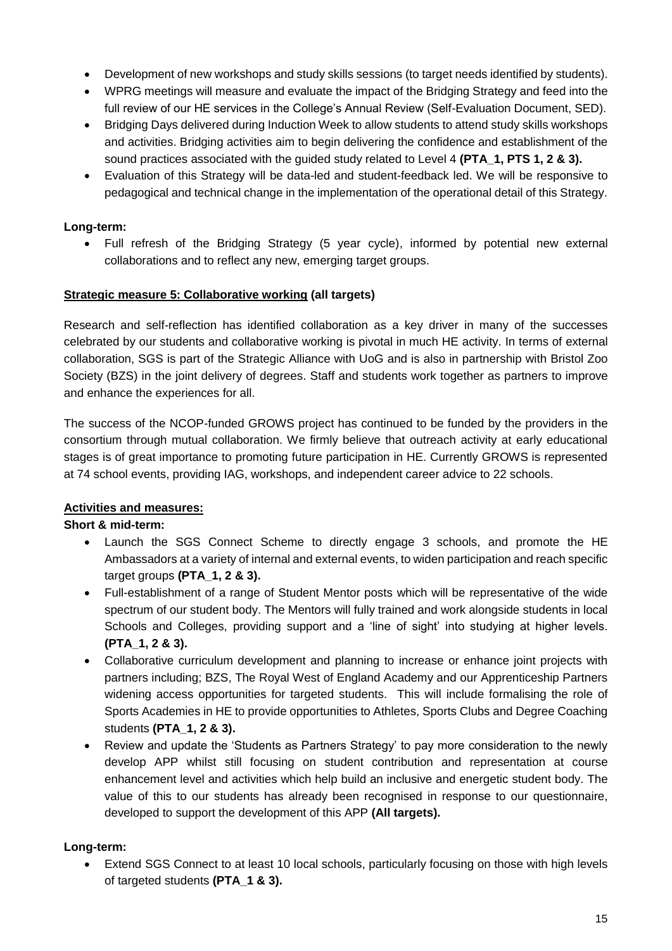- Development of new workshops and study skills sessions (to target needs identified by students).
- WPRG meetings will measure and evaluate the impact of the Bridging Strategy and feed into the full review of our HE services in the College's Annual Review (Self-Evaluation Document, SED).
- Bridging Days delivered during Induction Week to allow students to attend study skills workshops and activities. Bridging activities aim to begin delivering the confidence and establishment of the sound practices associated with the guided study related to Level 4 **(PTA\_1, PTS 1, 2 & 3).**
- Evaluation of this Strategy will be data-led and student-feedback led. We will be responsive to pedagogical and technical change in the implementation of the operational detail of this Strategy.

#### **Long-term:**

• Full refresh of the Bridging Strategy (5 year cycle), informed by potential new external collaborations and to reflect any new, emerging target groups.

#### **Strategic measure 5: Collaborative working (all targets)**

Research and self-reflection has identified collaboration as a key driver in many of the successes celebrated by our students and collaborative working is pivotal in much HE activity. In terms of external collaboration, SGS is part of the Strategic Alliance with UoG and is also in partnership with Bristol Zoo Society (BZS) in the joint delivery of degrees. Staff and students work together as partners to improve and enhance the experiences for all.

The success of the NCOP-funded GROWS project has continued to be funded by the providers in the consortium through mutual collaboration. We firmly believe that outreach activity at early educational stages is of great importance to promoting future participation in HE. Currently GROWS is represented at 74 school events, providing IAG, workshops, and independent career advice to 22 schools.

#### **Activities and measures:**

#### **Short & mid-term:**

- Launch the SGS Connect Scheme to directly engage 3 schools, and promote the HE Ambassadors at a variety of internal and external events, to widen participation and reach specific target groups **(PTA\_1, 2 & 3).**
- Full-establishment of a range of Student Mentor posts which will be representative of the wide spectrum of our student body. The Mentors will fully trained and work alongside students in local Schools and Colleges, providing support and a 'line of sight' into studying at higher levels. **(PTA\_1, 2 & 3).**
- Collaborative curriculum development and planning to increase or enhance joint projects with partners including; BZS, The Royal West of England Academy and our Apprenticeship Partners widening access opportunities for targeted students. This will include formalising the role of Sports Academies in HE to provide opportunities to Athletes, Sports Clubs and Degree Coaching students **(PTA\_1, 2 & 3).**
- Review and update the 'Students as Partners Strategy' to pay more consideration to the newly develop APP whilst still focusing on student contribution and representation at course enhancement level and activities which help build an inclusive and energetic student body. The value of this to our students has already been recognised in response to our questionnaire, developed to support the development of this APP **(All targets).**

#### **Long-term:**

• Extend SGS Connect to at least 10 local schools, particularly focusing on those with high levels of targeted students **(PTA\_1 & 3).**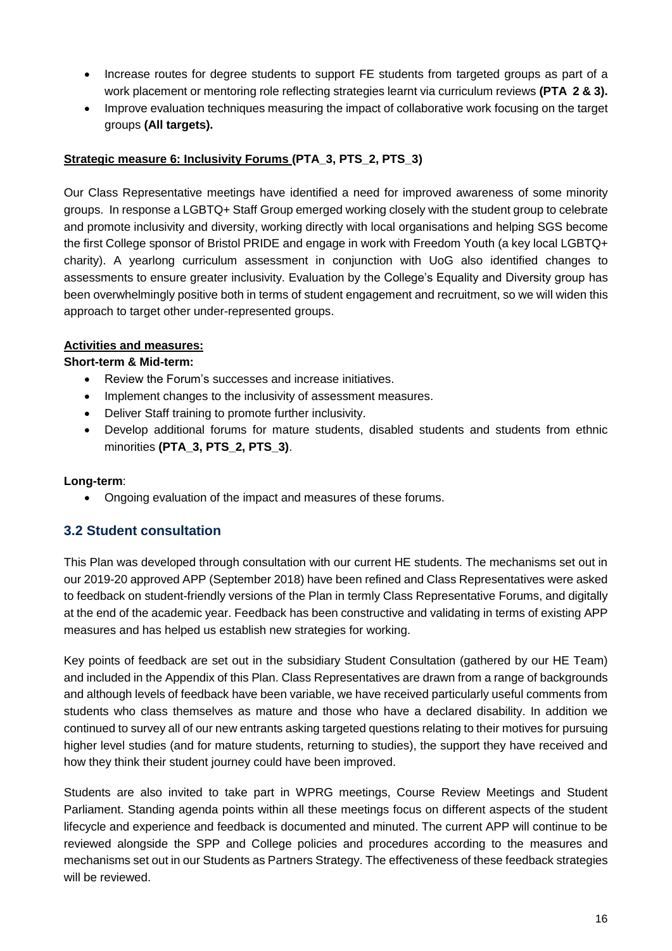- Increase routes for degree students to support FE students from targeted groups as part of a work placement or mentoring role reflecting strategies learnt via curriculum reviews **(PTA 2 & 3).**
- Improve evaluation techniques measuring the impact of collaborative work focusing on the target groups **(All targets).**

#### **Strategic measure 6: Inclusivity Forums (PTA\_3, PTS\_2, PTS\_3)**

Our Class Representative meetings have identified a need for improved awareness of some minority groups. In response a LGBTQ+ Staff Group emerged working closely with the student group to celebrate and promote inclusivity and diversity, working directly with local organisations and helping SGS become the first College sponsor of Bristol PRIDE and engage in work with Freedom Youth (a key local LGBTQ+ charity). A yearlong curriculum assessment in conjunction with UoG also identified changes to assessments to ensure greater inclusivity. Evaluation by the College's Equality and Diversity group has been overwhelmingly positive both in terms of student engagement and recruitment, so we will widen this approach to target other under-represented groups.

#### **Activities and measures:**

#### **Short-term & Mid-term:**

- Review the Forum's successes and increase initiatives.
- Implement changes to the inclusivity of assessment measures.
- Deliver Staff training to promote further inclusivity.
- Develop additional forums for mature students, disabled students and students from ethnic minorities **(PTA\_3, PTS\_2, PTS\_3)**.

#### **Long-term**:

• Ongoing evaluation of the impact and measures of these forums.

#### **3.2 Student consultation**

This Plan was developed through consultation with our current HE students. The mechanisms set out in our 2019-20 approved APP (September 2018) have been refined and Class Representatives were asked to feedback on student-friendly versions of the Plan in termly Class Representative Forums, and digitally at the end of the academic year. Feedback has been constructive and validating in terms of existing APP measures and has helped us establish new strategies for working.

Key points of feedback are set out in the subsidiary Student Consultation (gathered by our HE Team) and included in the Appendix of this Plan. Class Representatives are drawn from a range of backgrounds and although levels of feedback have been variable, we have received particularly useful comments from students who class themselves as mature and those who have a declared disability. In addition we continued to survey all of our new entrants asking targeted questions relating to their motives for pursuing higher level studies (and for mature students, returning to studies), the support they have received and how they think their student journey could have been improved.

Students are also invited to take part in WPRG meetings, Course Review Meetings and Student Parliament. Standing agenda points within all these meetings focus on different aspects of the student lifecycle and experience and feedback is documented and minuted. The current APP will continue to be reviewed alongside the SPP and College policies and procedures according to the measures and mechanisms set out in our Students as Partners Strategy. The effectiveness of these feedback strategies will be reviewed.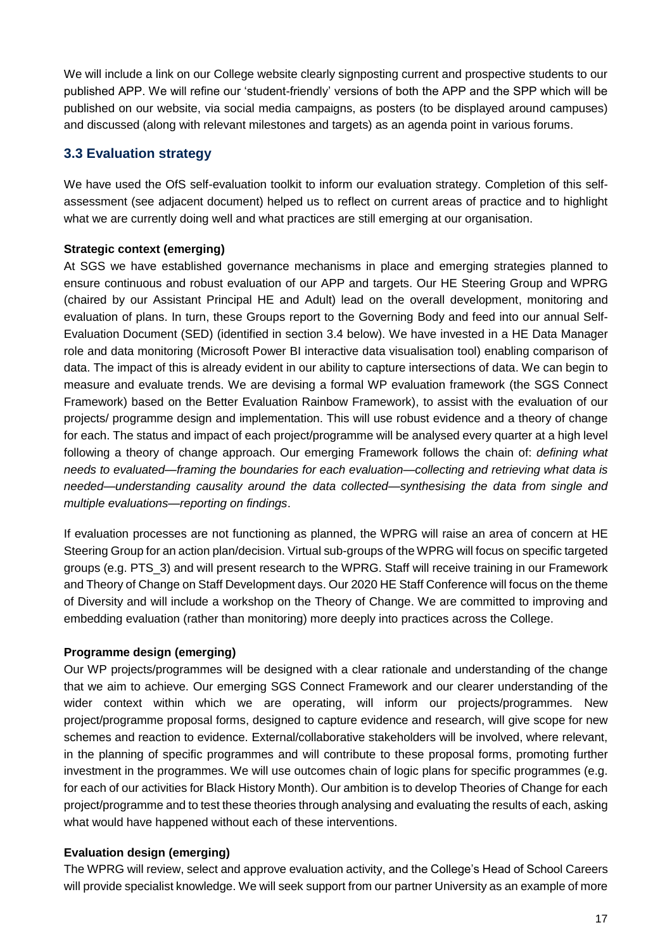We will include a link on our College website clearly signposting current and prospective students to our published APP. We will refine our 'student-friendly' versions of both the APP and the SPP which will be published on our website, via social media campaigns, as posters (to be displayed around campuses) and discussed (along with relevant milestones and targets) as an agenda point in various forums.

#### **3.3 Evaluation strategy**

We have used the OfS self-evaluation toolkit to inform our evaluation strategy. Completion of this selfassessment (see adjacent document) helped us to reflect on current areas of practice and to highlight what we are currently doing well and what practices are still emerging at our organisation.

#### **Strategic context (emerging)**

At SGS we have established governance mechanisms in place and emerging strategies planned to ensure continuous and robust evaluation of our APP and targets. Our HE Steering Group and WPRG (chaired by our Assistant Principal HE and Adult) lead on the overall development, monitoring and evaluation of plans. In turn, these Groups report to the Governing Body and feed into our annual Self-Evaluation Document (SED) (identified in section 3.4 below). We have invested in a HE Data Manager role and data monitoring (Microsoft Power BI interactive data visualisation tool) enabling comparison of data. The impact of this is already evident in our ability to capture intersections of data. We can begin to measure and evaluate trends. We are devising a formal WP evaluation framework (the SGS Connect Framework) based on the Better Evaluation Rainbow Framework), to assist with the evaluation of our projects/ programme design and implementation. This will use robust evidence and a theory of change for each. The status and impact of each project/programme will be analysed every quarter at a high level following a theory of change approach. Our emerging Framework follows the chain of: *defining what needs to evaluated—framing the boundaries for each evaluation—collecting and retrieving what data is needed—understanding causality around the data collected—synthesising the data from single and multiple evaluations—reporting on findings*.

If evaluation processes are not functioning as planned, the WPRG will raise an area of concern at HE Steering Group for an action plan/decision. Virtual sub-groups of the WPRG will focus on specific targeted groups (e.g. PTS\_3) and will present research to the WPRG. Staff will receive training in our Framework and Theory of Change on Staff Development days. Our 2020 HE Staff Conference will focus on the theme of Diversity and will include a workshop on the Theory of Change. We are committed to improving and embedding evaluation (rather than monitoring) more deeply into practices across the College.

#### **Programme design (emerging)**

Our WP projects/programmes will be designed with a clear rationale and understanding of the change that we aim to achieve. Our emerging SGS Connect Framework and our clearer understanding of the wider context within which we are operating, will inform our projects/programmes. New project/programme proposal forms, designed to capture evidence and research, will give scope for new schemes and reaction to evidence. External/collaborative stakeholders will be involved, where relevant, in the planning of specific programmes and will contribute to these proposal forms, promoting further investment in the programmes. We will use outcomes chain of logic plans for specific programmes (e.g. for each of our activities for Black History Month). Our ambition is to develop Theories of Change for each project/programme and to test these theories through analysing and evaluating the results of each, asking what would have happened without each of these interventions.

#### **Evaluation design (emerging)**

The WPRG will review, select and approve evaluation activity, and the College's Head of School Careers will provide specialist knowledge. We will seek support from our partner University as an example of more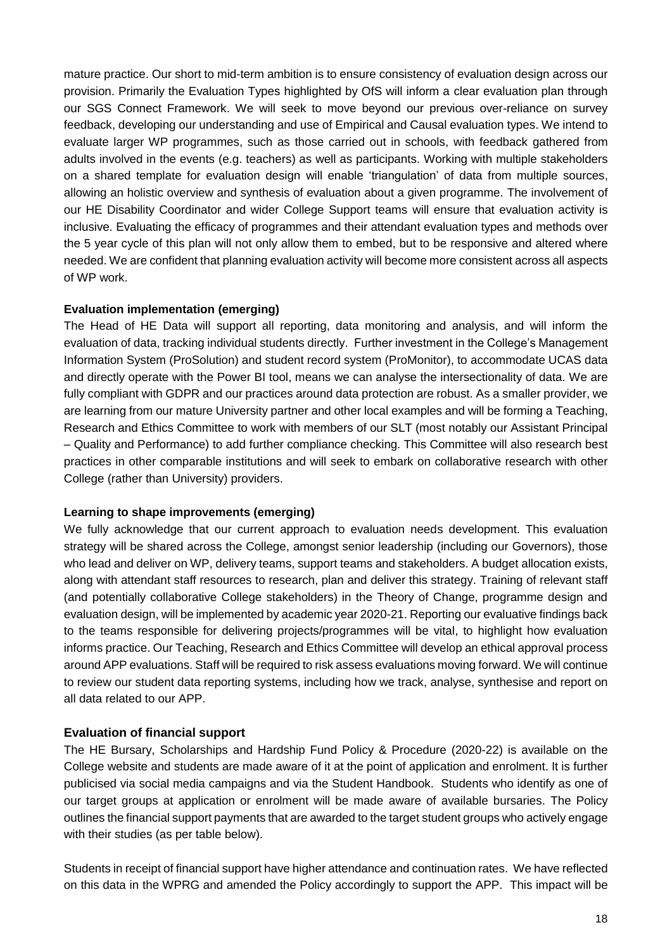mature practice. Our short to mid-term ambition is to ensure consistency of evaluation design across our provision. Primarily the Evaluation Types highlighted by OfS will inform a clear evaluation plan through our SGS Connect Framework. We will seek to move beyond our previous over-reliance on survey feedback, developing our understanding and use of Empirical and Causal evaluation types. We intend to evaluate larger WP programmes, such as those carried out in schools, with feedback gathered from adults involved in the events (e.g. teachers) as well as participants. Working with multiple stakeholders on a shared template for evaluation design will enable 'triangulation' of data from multiple sources, allowing an holistic overview and synthesis of evaluation about a given programme. The involvement of our HE Disability Coordinator and wider College Support teams will ensure that evaluation activity is inclusive. Evaluating the efficacy of programmes and their attendant evaluation types and methods over the 5 year cycle of this plan will not only allow them to embed, but to be responsive and altered where needed. We are confident that planning evaluation activity will become more consistent across all aspects of WP work.

#### **Evaluation implementation (emerging)**

The Head of HE Data will support all reporting, data monitoring and analysis, and will inform the evaluation of data, tracking individual students directly. Further investment in the College's Management Information System (ProSolution) and student record system (ProMonitor), to accommodate UCAS data and directly operate with the Power BI tool, means we can analyse the intersectionality of data. We are fully compliant with GDPR and our practices around data protection are robust. As a smaller provider, we are learning from our mature University partner and other local examples and will be forming a Teaching, Research and Ethics Committee to work with members of our SLT (most notably our Assistant Principal – Quality and Performance) to add further compliance checking. This Committee will also research best practices in other comparable institutions and will seek to embark on collaborative research with other College (rather than University) providers.

#### **Learning to shape improvements (emerging)**

We fully acknowledge that our current approach to evaluation needs development. This evaluation strategy will be shared across the College, amongst senior leadership (including our Governors), those who lead and deliver on WP, delivery teams, support teams and stakeholders. A budget allocation exists, along with attendant staff resources to research, plan and deliver this strategy. Training of relevant staff (and potentially collaborative College stakeholders) in the Theory of Change, programme design and evaluation design, will be implemented by academic year 2020-21. Reporting our evaluative findings back to the teams responsible for delivering projects/programmes will be vital, to highlight how evaluation informs practice. Our Teaching, Research and Ethics Committee will develop an ethical approval process around APP evaluations. Staff will be required to risk assess evaluations moving forward. We will continue to review our student data reporting systems, including how we track, analyse, synthesise and report on all data related to our APP.

#### **Evaluation of financial support**

The HE Bursary, Scholarships and Hardship Fund Policy & Procedure (2020-22) is available on the College website and students are made aware of it at the point of application and enrolment. It is further publicised via social media campaigns and via the Student Handbook. Students who identify as one of our target groups at application or enrolment will be made aware of available bursaries. The Policy outlines the financial support payments that are awarded to the target student groups who actively engage with their studies (as per table below).

Students in receipt of financial support have higher attendance and continuation rates. We have reflected on this data in the WPRG and amended the Policy accordingly to support the APP. This impact will be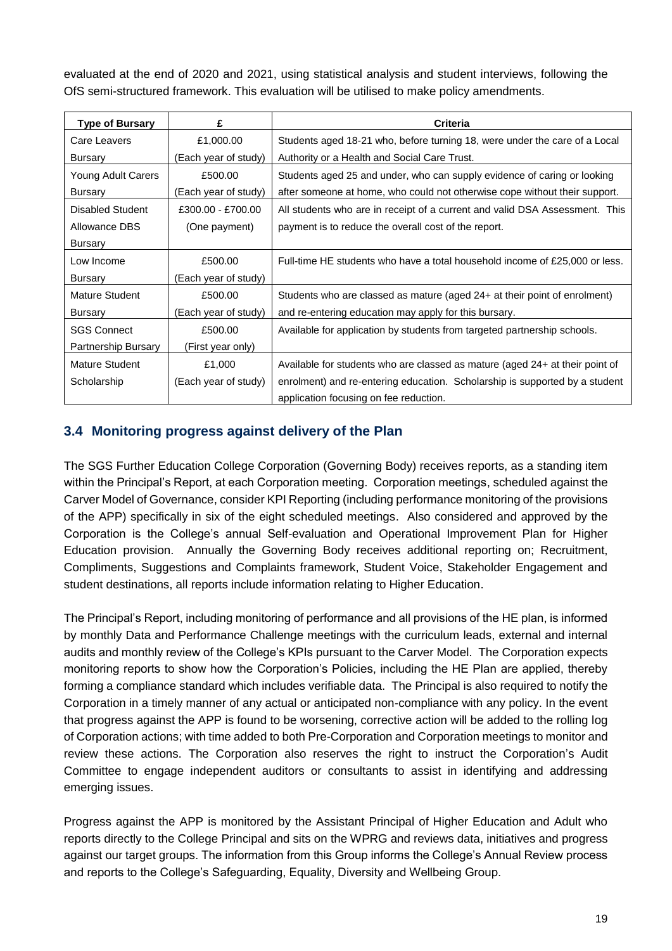evaluated at the end of 2020 and 2021, using statistical analysis and student interviews, following the OfS semi-structured framework. This evaluation will be utilised to make policy amendments.

| <b>Type of Bursary</b>    | £                    | Criteria                                                                     |
|---------------------------|----------------------|------------------------------------------------------------------------------|
| Care Leavers              | £1,000.00            | Students aged 18-21 who, before turning 18, were under the care of a Local   |
| Bursary                   | (Each year of study) | Authority or a Health and Social Care Trust.                                 |
| <b>Young Adult Carers</b> | £500.00              | Students aged 25 and under, who can supply evidence of caring or looking     |
| Bursary                   | (Each year of study) | after someone at home, who could not otherwise cope without their support.   |
| Disabled Student          | £300.00 - £700.00    | All students who are in receipt of a current and valid DSA Assessment. This  |
| Allowance DBS             | (One payment)        | payment is to reduce the overall cost of the report.                         |
| Bursary                   |                      |                                                                              |
| Low Income                | £500.00              | Full-time HE students who have a total household income of £25,000 or less.  |
| Bursary                   | (Each year of study) |                                                                              |
| Mature Student            | £500.00              | Students who are classed as mature (aged 24+ at their point of enrolment)    |
| Bursary                   | (Each year of study) | and re-entering education may apply for this bursary.                        |
| <b>SGS Connect</b>        | £500.00              | Available for application by students from targeted partnership schools.     |
| Partnership Bursary       | (First year only)    |                                                                              |
| Mature Student            | £1,000               | Available for students who are classed as mature (aged 24+ at their point of |
| Scholarship               | (Each year of study) | enrolment) and re-entering education. Scholarship is supported by a student  |
|                           |                      | application focusing on fee reduction.                                       |

#### **3.4 Monitoring progress against delivery of the Plan**

The SGS Further Education College Corporation (Governing Body) receives reports, as a standing item within the Principal's Report, at each Corporation meeting. Corporation meetings, scheduled against the Carver Model of Governance, consider KPI Reporting (including performance monitoring of the provisions of the APP) specifically in six of the eight scheduled meetings. Also considered and approved by the Corporation is the College's annual Self-evaluation and Operational Improvement Plan for Higher Education provision. Annually the Governing Body receives additional reporting on; Recruitment, Compliments, Suggestions and Complaints framework, Student Voice, Stakeholder Engagement and student destinations, all reports include information relating to Higher Education.

The Principal's Report, including monitoring of performance and all provisions of the HE plan, is informed by monthly Data and Performance Challenge meetings with the curriculum leads, external and internal audits and monthly review of the College's KPIs pursuant to the Carver Model. The Corporation expects monitoring reports to show how the Corporation's Policies, including the HE Plan are applied, thereby forming a compliance standard which includes verifiable data. The Principal is also required to notify the Corporation in a timely manner of any actual or anticipated non-compliance with any policy. In the event that progress against the APP is found to be worsening, corrective action will be added to the rolling log of Corporation actions; with time added to both Pre-Corporation and Corporation meetings to monitor and review these actions. The Corporation also reserves the right to instruct the Corporation's Audit Committee to engage independent auditors or consultants to assist in identifying and addressing emerging issues.

Progress against the APP is monitored by the Assistant Principal of Higher Education and Adult who reports directly to the College Principal and sits on the WPRG and reviews data, initiatives and progress against our target groups. The information from this Group informs the College's Annual Review process and reports to the College's Safeguarding, Equality, Diversity and Wellbeing Group.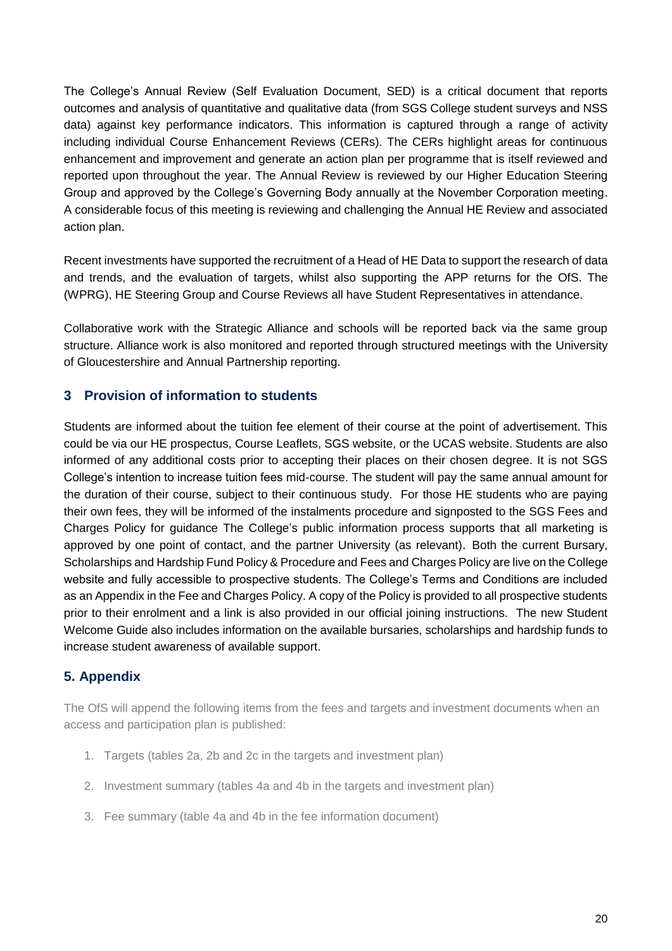The College's Annual Review (Self Evaluation Document, SED) is a critical document that reports outcomes and analysis of quantitative and qualitative data (from SGS College student surveys and NSS data) against key performance indicators. This information is captured through a range of activity including individual Course Enhancement Reviews (CERs). The CERs highlight areas for continuous enhancement and improvement and generate an action plan per programme that is itself reviewed and reported upon throughout the year. The Annual Review is reviewed by our Higher Education Steering Group and approved by the College's Governing Body annually at the November Corporation meeting. A considerable focus of this meeting is reviewing and challenging the Annual HE Review and associated action plan.

Recent investments have supported the recruitment of a Head of HE Data to support the research of data and trends, and the evaluation of targets, whilst also supporting the APP returns for the OfS. The (WPRG), HE Steering Group and Course Reviews all have Student Representatives in attendance.

Collaborative work with the Strategic Alliance and schools will be reported back via the same group structure. Alliance work is also monitored and reported through structured meetings with the University of Gloucestershire and Annual Partnership reporting.

#### **3 Provision of information to students**

Students are informed about the tuition fee element of their course at the point of advertisement. This could be via our HE prospectus, Course Leaflets, SGS website, or the UCAS website. Students are also informed of any additional costs prior to accepting their places on their chosen degree. It is not SGS College's intention to increase tuition fees mid-course. The student will pay the same annual amount for the duration of their course, subject to their continuous study. For those HE students who are paying their own fees, they will be informed of the instalments procedure and signposted to the SGS Fees and Charges Policy for guidance The College's public information process supports that all marketing is approved by one point of contact, and the partner University (as relevant). Both the current Bursary, Scholarships and Hardship Fund Policy & Procedure and Fees and Charges Policy are live on the College website and fully accessible to prospective students. The College's Terms and Conditions are included as an Appendix in the Fee and Charges Policy. A copy of the Policy is provided to all prospective students prior to their enrolment and a link is also provided in our official joining instructions. The new Student Welcome Guide also includes information on the available bursaries, scholarships and hardship funds to increase student awareness of available support.

#### **5. Appendix**

The OfS will append the following items from the fees and targets and investment documents when an access and participation plan is published:

- 1. Targets (tables 2a, 2b and 2c in the targets and investment plan)
- 2. Investment summary (tables 4a and 4b in the targets and investment plan)
- 3. Fee summary (table 4a and 4b in the fee information document)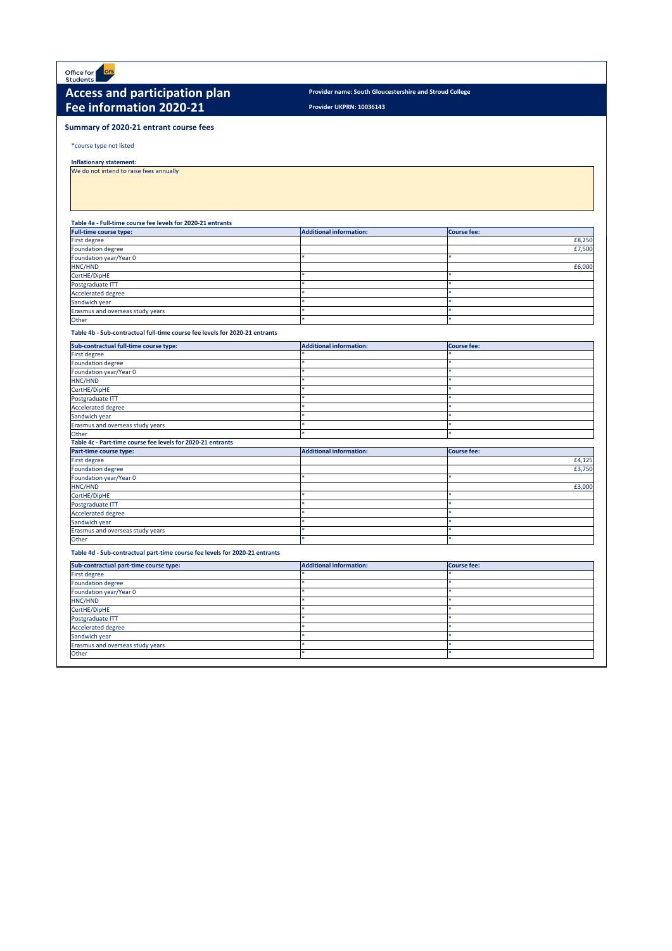**Provider UKPRN: 10036143**

\*course type not listed

**Inflationary statement:** 

We do not intend to raise fees annually

#### **Table 4a - Full-time course fee levels for 2020-21 entrants**

| <b>Full-time course type:</b>    | <b>Additional information:</b> | Course fee: |
|----------------------------------|--------------------------------|-------------|
| <b>First degree</b>              |                                | £8,250      |
| Foundation degree                |                                | £7,500      |
| Foundation year/Year 0           |                                |             |
| HNC/HND                          |                                | £6,000      |
| CertHE/DipHE                     |                                |             |
| Postgraduate ITT                 |                                |             |
| Accelerated degree               |                                |             |
| Sandwich year                    |                                |             |
| Erasmus and overseas study years |                                |             |
| Other                            |                                |             |

#### **Table 4b - Sub-contractual full-time course fee levels for 2020-21 entrants**



## Access and participation plan *Provider name: South Gloucestershire and Stroud College* **Fee information 2020-21**

| Sub-contractual full-time course type:                      | <b>Additional information:</b> | <b>Course fee:</b> |
|-------------------------------------------------------------|--------------------------------|--------------------|
| <b>First degree</b>                                         |                                |                    |
| <b>Foundation degree</b>                                    |                                |                    |
| Foundation year/Year 0                                      |                                |                    |
| HNC/HND                                                     |                                |                    |
| CertHE/DipHE                                                |                                |                    |
| Postgraduate ITT                                            |                                |                    |
| <b>Accelerated degree</b>                                   |                                |                    |
| Sandwich year                                               |                                |                    |
| Erasmus and overseas study years                            |                                |                    |
| Other                                                       |                                | جاد                |
| Table 4c - Part-time course fee levels for 2020-21 entrants |                                |                    |
| Part-time course type:                                      | <b>Additional information:</b> | <b>Course fee:</b> |
| <b>First degree</b>                                         |                                | £4,125             |
| Foundation degree                                           |                                | £3,750             |
| Foundation year/Year 0                                      |                                |                    |
| HNC/HND                                                     |                                | £3,000             |
| CertHE/DipHE                                                |                                |                    |
| Postgraduate ITT                                            |                                |                    |
| <b>Accelerated degree</b>                                   |                                |                    |
| Sandwich year                                               |                                |                    |
| Erasmus and overseas study years                            |                                |                    |
| Other                                                       |                                |                    |

**Table 4d - Sub-contractual part-time course fee levels for 2020-21 entrants**

## **Summary of 2020-21 entrant course fees**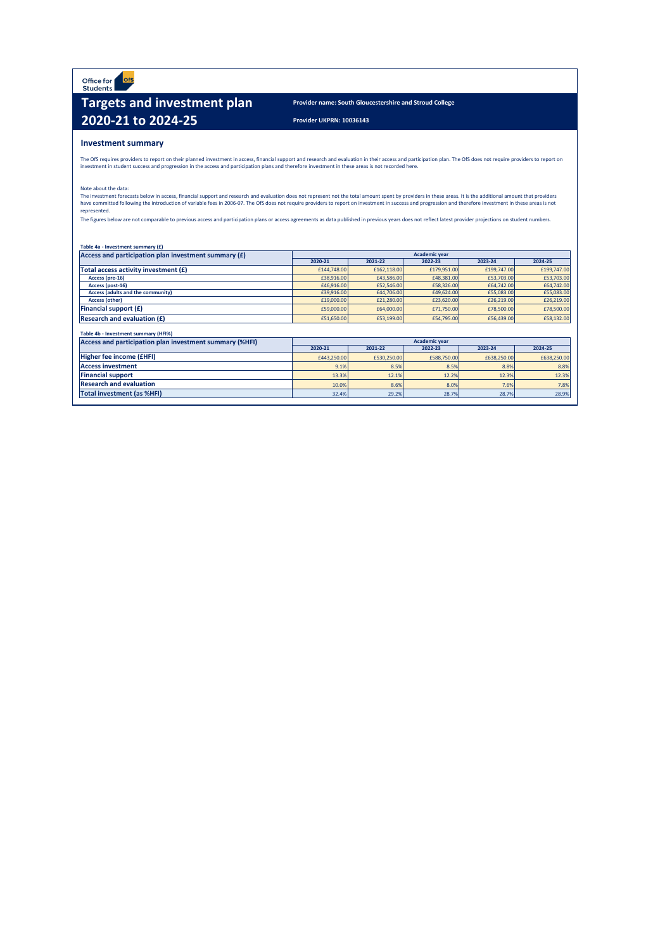Office for ofs<br>Students

## **Targets and investment plan** Provider name: South Gloucestershire and Stroud College **2020-21 to 2024-25** Provider UKPRN: 10036143

### **Investment summary**

|--|

The OfS requires providers to report on their planned investment in access, financial support and research and evaluation in their access and participation plan. The OfS does not require providers to report on investment in student success and progression in the access and participation plans and therefore investment in these areas is not recorded here.

The investment forecasts below in access, financial support and research and evaluation does not represent not the total amount spent by providers in these areas. It is the additional amount that providers have committed following the introduction of variable fees in 2006-07. The OfS does not require providers to report on investment in success and progression and therefore investment in these areas is not represented.

The figures below are not comparable to previous access and participation plans or access agreements as data published in previous years does not reflect latest provider projections on student numbers.

| Access and participation plan investment summary $(f)$ | <b>Academic year</b> |             |             |             |             |
|--------------------------------------------------------|----------------------|-------------|-------------|-------------|-------------|
|                                                        | 2020-21              | 2021-22     | 2022-23     | 2023-24     | 2024-25     |
| Total access activity investment $(f)$                 | £144,748.00          | £162,118.00 | £179,951.00 | £199,747.00 | £199,747.00 |
| Access (pre-16)                                        | £38,916.00           | £43,586.00  | £48,381.00  | £53,703.00  | £53,703.00  |
| Access (post-16)                                       | £46,916.00           | £52,546.00  | £58,326.00  | £64,742.00  | £64,742.00  |
| Access (adults and the community)                      | £39,916.00           | £44,706.00  | £49,624.00  | £55,083.00  | £55,083.00  |
| <b>Access (other)</b>                                  | £19,000.00           | £21,280.00  | £23,620.00  | £26,219.00  | £26,219.00  |
| <b>Financial support <math>(f)</math></b>              | £59,000.00           | £64,000.00  | £71,750.00  | £78,500.00  | £78,500.00  |
| <b>Research and evaluation <math>(f)</math></b>        | £51,650.00           | £53,199.00  | £54,795.00  | £56,439.00  | £58,132.00  |

Note about the data:

| Table 4b - Investment summary (HFI%)                    |                      |             |             |             |             |  |  |  |  |  |  |
|---------------------------------------------------------|----------------------|-------------|-------------|-------------|-------------|--|--|--|--|--|--|
| Access and participation plan investment summary (%HFI) | <b>Academic year</b> |             |             |             |             |  |  |  |  |  |  |
|                                                         | 2020-21              | 2021-22     | 2022-23     | 2023-24     | 2024-25     |  |  |  |  |  |  |
| Higher fee income (£HFI)                                | £443,250.00          | £530,250.00 | £588,750.00 | £638,250.00 | £638,250.00 |  |  |  |  |  |  |
| <b>Access investment</b>                                | 9.1%                 | 8.5%        | 8.5%        | 8.8%        | 8.8%        |  |  |  |  |  |  |
| <b>Financial support</b>                                | 13.3%                | 12.1%       | 12.2%       | 12.3%       | 12.3%       |  |  |  |  |  |  |
| <b>Research and evaluation</b>                          | 10.0%                | 8.6%        | 8.0%        | 7.6%        | 7.8%        |  |  |  |  |  |  |
| <b>Total investment (as %HFI)</b>                       | 32.4%                | 29.2%       | 28.7%       | 28.7%       | 28.9%       |  |  |  |  |  |  |
|                                                         |                      |             |             |             |             |  |  |  |  |  |  |